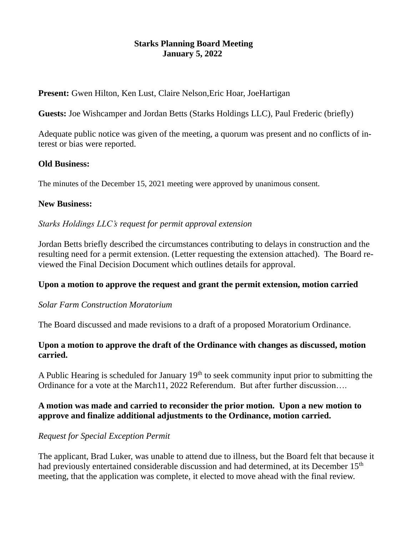# **Starks Planning Board Meeting January 5, 2022**

**Present:** Gwen Hilton, Ken Lust, Claire Nelson,Eric Hoar, JoeHartigan

**Guests:** Joe Wishcamper and Jordan Betts (Starks Holdings LLC), Paul Frederic (briefly)

Adequate public notice was given of the meeting, a quorum was present and no conflicts of interest or bias were reported.

#### **Old Business:**

The minutes of the December 15, 2021 meeting were approved by unanimous consent.

#### **New Business:**

#### *Starks Holdings LLC's request for permit approval extension*

Jordan Betts briefly described the circumstances contributing to delays in construction and the resulting need for a permit extension. (Letter requesting the extension attached). The Board reviewed the Final Decision Document which outlines details for approval.

#### **Upon a motion to approve the request and grant the permit extension, motion carried**

#### *Solar Farm Construction Moratorium*

The Board discussed and made revisions to a draft of a proposed Moratorium Ordinance.

## **Upon a motion to approve the draft of the Ordinance with changes as discussed, motion carried.**

A Public Hearing is scheduled for January  $19<sup>th</sup>$  to seek community input prior to submitting the Ordinance for a vote at the March11, 2022 Referendum. But after further discussion….

## **A motion was made and carried to reconsider the prior motion. Upon a new motion to approve and finalize additional adjustments to the Ordinance, motion carried.**

## *Request for Special Exception Permit*

The applicant, Brad Luker, was unable to attend due to illness, but the Board felt that because it had previously entertained considerable discussion and had determined, at its December 15<sup>th</sup> meeting, that the application was complete, it elected to move ahead with the final review.